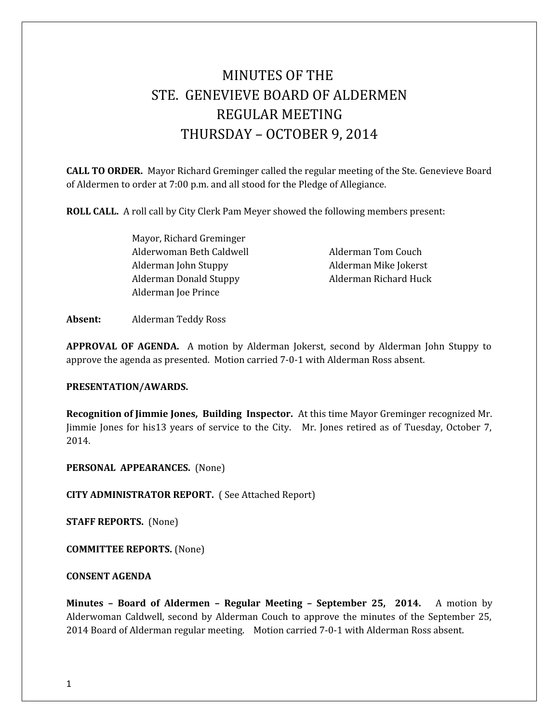# MINUTES OF THE STE. GENEVIEVE BOARD OF ALDERMEN REGULAR MEETING THURSDAY – OCTOBER 9, 2014

**CALL TO ORDER.** Mayor Richard Greminger called the regular meeting of the Ste. Genevieve Board of Aldermen to order at 7:00 p.m. and all stood for the Pledge of Allegiance.

**ROLL CALL.** A roll call by City Clerk Pam Meyer showed the following members present:

Mayor, Richard Greminger Alderwoman Beth Caldwell **Alderman Tom Couch** Alderman John Stuppy Alderman Mike Jokerst Alderman Donald Stuppy **Alderman Richard Huck** Alderman Joe Prince

**Absent:** Alderman Teddy Ross

**APPROVAL OF AGENDA.** A motion by Alderman Jokerst, second by Alderman John Stuppy to approve the agenda as presented. Motion carried 7-0-1 with Alderman Ross absent.

### **PRESENTATION/AWARDS.**

**Recognition of Jimmie Jones, Building Inspector.** At this time Mayor Greminger recognized Mr. Jimmie Jones for his13 years of service to the City. Mr. Jones retired as of Tuesday, October 7, 2014.

**PERSONAL APPEARANCES.** (None)

**CITY ADMINISTRATOR REPORT.** ( See Attached Report)

**STAFF REPORTS.** (None)

**COMMITTEE REPORTS.** (None)

**CONSENT AGENDA** 

**Minutes – Board of Aldermen – Regular Meeting – September 25, 2014.** A motion by Alderwoman Caldwell, second by Alderman Couch to approve the minutes of the September 25, 2014 Board of Alderman regular meeting. Motion carried 7-0-1 with Alderman Ross absent.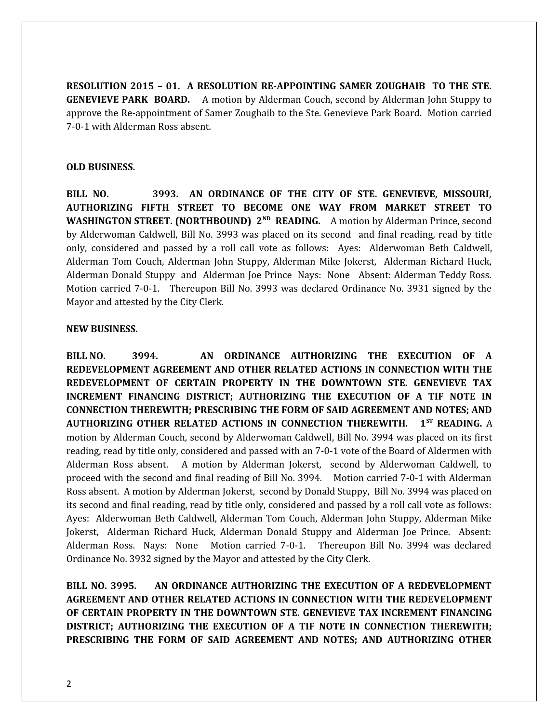**RESOLUTION 2015 – 01. A RESOLUTION RE-APPOINTING SAMER ZOUGHAIB TO THE STE. GENEVIEVE PARK BOARD.** A motion by Alderman Couch, second by Alderman John Stuppy to approve the Re-appointment of Samer Zoughaib to the Ste. Genevieve Park Board. Motion carried 7-0-1 with Alderman Ross absent.

### **OLD BUSINESS.**

**BILL NO. 3993. AN ORDINANCE OF THE CITY OF STE. GENEVIEVE, MISSOURI, AUTHORIZING FIFTH STREET TO BECOME ONE WAY FROM MARKET STREET TO WASHINGTON STREET. (NORTHBOUND) 2<sup>ND</sup> READING.** A motion by Alderman Prince, second by Alderwoman Caldwell, Bill No. 3993 was placed on its second and final reading, read by title only, considered and passed by a roll call vote as follows: Ayes: Alderwoman Beth Caldwell, Alderman Tom Couch, Alderman John Stuppy, Alderman Mike Jokerst, Alderman Richard Huck, Alderman Donald Stuppy and Alderman Joe Prince Nays: None Absent: Alderman Teddy Ross. Motion carried 7-0-1. Thereupon Bill No. 3993 was declared Ordinance No. 3931 signed by the Mayor and attested by the City Clerk.

### **NEW BUSINESS.**

**BILL NO. 3994. AN ORDINANCE AUTHORIZING THE EXECUTION OF A REDEVELOPMENT AGREEMENT AND OTHER RELATED ACTIONS IN CONNECTION WITH THE REDEVELOPMENT OF CERTAIN PROPERTY IN THE DOWNTOWN STE. GENEVIEVE TAX INCREMENT FINANCING DISTRICT; AUTHORIZING THE EXECUTION OF A TIF NOTE IN CONNECTION THEREWITH; PRESCRIBING THE FORM OF SAID AGREEMENT AND NOTES; AND AUTHORIZING OTHER RELATED ACTIONS IN CONNECTION THEREWITH. 1ST READING.** A motion by Alderman Couch, second by Alderwoman Caldwell, Bill No. 3994 was placed on its first reading, read by title only, considered and passed with an 7-0-1 vote of the Board of Aldermen with Alderman Ross absent. A motion by Alderman Jokerst, second by Alderwoman Caldwell, to proceed with the second and final reading of Bill No. 3994. Motion carried 7-0-1 with Alderman Ross absent. A motion by Alderman Jokerst, second by Donald Stuppy, Bill No. 3994 was placed on its second and final reading, read by title only, considered and passed by a roll call vote as follows: Ayes: Alderwoman Beth Caldwell, Alderman Tom Couch, Alderman John Stuppy, Alderman Mike Jokerst, Alderman Richard Huck, Alderman Donald Stuppy and Alderman Joe Prince. Absent: Alderman Ross. Nays: None Motion carried 7-0-1. Thereupon Bill No. 3994 was declared Ordinance No. 3932 signed by the Mayor and attested by the City Clerk.

**BILL NO. 3995. AN ORDINANCE AUTHORIZING THE EXECUTION OF A REDEVELOPMENT AGREEMENT AND OTHER RELATED ACTIONS IN CONNECTION WITH THE REDEVELOPMENT OF CERTAIN PROPERTY IN THE DOWNTOWN STE. GENEVIEVE TAX INCREMENT FINANCING DISTRICT; AUTHORIZING THE EXECUTION OF A TIF NOTE IN CONNECTION THEREWITH; PRESCRIBING THE FORM OF SAID AGREEMENT AND NOTES; AND AUTHORIZING OTHER**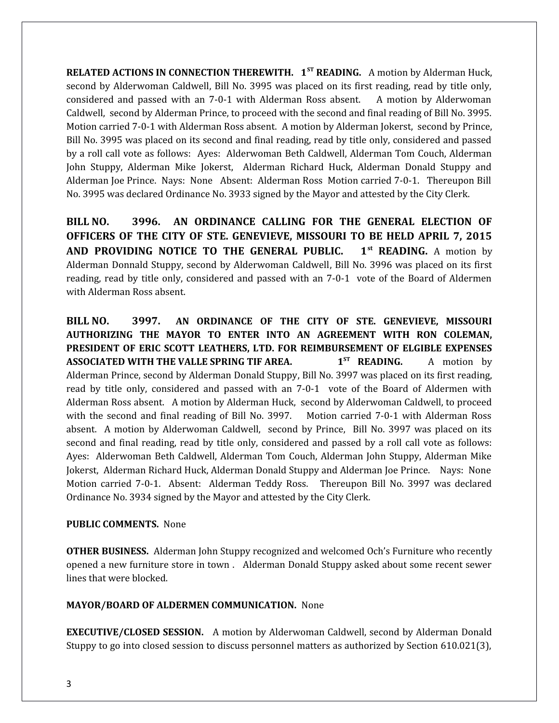**RELATED ACTIONS IN CONNECTION THEREWITH. 1ST READING.** A motion by Alderman Huck, second by Alderwoman Caldwell, Bill No. 3995 was placed on its first reading, read by title only, considered and passed with an 7-0-1 with Alderman Ross absent. A motion by Alderwoman Caldwell, second by Alderman Prince, to proceed with the second and final reading of Bill No. 3995. Motion carried 7-0-1 with Alderman Ross absent. A motion by Alderman Jokerst, second by Prince, Bill No. 3995 was placed on its second and final reading, read by title only, considered and passed by a roll call vote as follows: Ayes: Alderwoman Beth Caldwell, Alderman Tom Couch, Alderman John Stuppy, Alderman Mike Jokerst, Alderman Richard Huck, Alderman Donald Stuppy and Alderman Joe Prince. Nays: None Absent: Alderman Ross Motion carried 7-0-1. Thereupon Bill No. 3995 was declared Ordinance No. 3933 signed by the Mayor and attested by the City Clerk.

**BILL NO. 3996. AN ORDINANCE CALLING FOR THE GENERAL ELECTION OF OFFICERS OF THE CITY OF STE. GENEVIEVE, MISSOURI TO BE HELD APRIL 7, 2015 AND PROVIDING NOTICE TO THE GENERAL PUBLIC. 1st READING.** A motion by Alderman Donnald Stuppy, second by Alderwoman Caldwell, Bill No. 3996 was placed on its first reading, read by title only, considered and passed with an 7-0-1 vote of the Board of Aldermen with Alderman Ross absent.

**BILL NO. 3997. AN ORDINANCE OF THE CITY OF STE. GENEVIEVE, MISSOURI AUTHORIZING THE MAYOR TO ENTER INTO AN AGREEMENT WITH RON COLEMAN, PRESIDENT OF ERIC SCOTT LEATHERS, LTD. FOR REIMBURSEMENT OF ELGIBLE EXPENSES ASSOCIATED WITH THE VALLE SPRING TIF AREA. 1<sup>ST</sup> READING.** A motion by Alderman Prince, second by Alderman Donald Stuppy, Bill No. 3997 was placed on its first reading, read by title only, considered and passed with an 7-0-1 vote of the Board of Aldermen with Alderman Ross absent. A motion by Alderman Huck, second by Alderwoman Caldwell, to proceed with the second and final reading of Bill No. 3997. Motion carried 7-0-1 with Alderman Ross absent. A motion by Alderwoman Caldwell, second by Prince, Bill No. 3997 was placed on its second and final reading, read by title only, considered and passed by a roll call vote as follows: Ayes: Alderwoman Beth Caldwell, Alderman Tom Couch, Alderman John Stuppy, Alderman Mike Jokerst, Alderman Richard Huck, Alderman Donald Stuppy and Alderman Joe Prince. Nays: None Motion carried 7-0-1. Absent: Alderman Teddy Ross. Thereupon Bill No. 3997 was declared Ordinance No. 3934 signed by the Mayor and attested by the City Clerk.

## **PUBLIC COMMENTS.** None

**OTHER BUSINESS.** Alderman John Stuppy recognized and welcomed Och's Furniture who recently opened a new furniture store in town . Alderman Donald Stuppy asked about some recent sewer lines that were blocked.

## **MAYOR/BOARD OF ALDERMEN COMMUNICATION.** None

**EXECUTIVE/CLOSED SESSION.** A motion by Alderwoman Caldwell, second by Alderman Donald Stuppy to go into closed session to discuss personnel matters as authorized by Section 610.021(3),